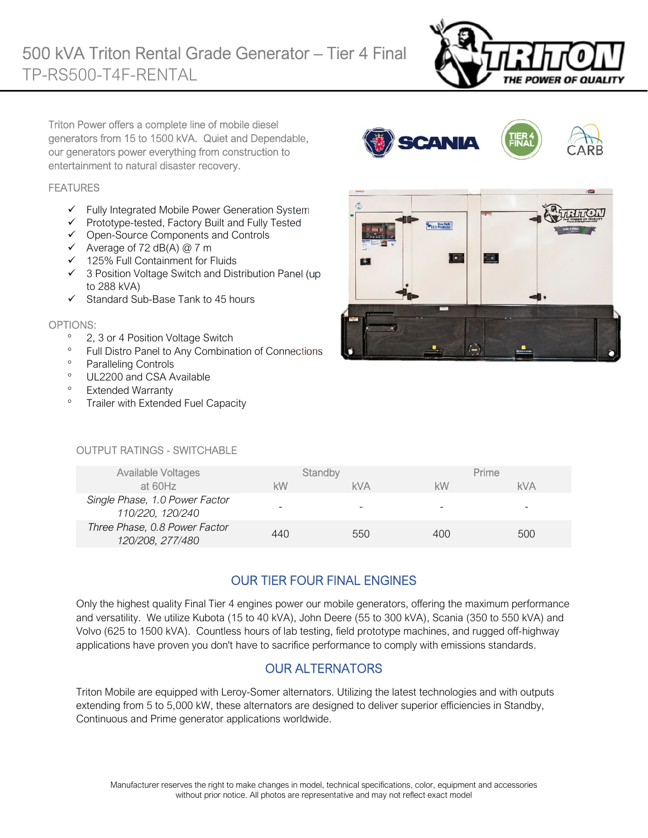

Triton Power offers a complete line of mobile diesel generators from 15 to 1500 kVA. Quiet and Dependable, our generators power everything from construction to entertainment to natural disaster recovery.

#### **FEATURES**

- $\checkmark$  Fully Integrated Mobile Power Generation System
- Prototype-tested, Factory Built and Fully Tested
- $\checkmark$  Open-Source Components and Controls
- $\checkmark$  Average of 72 dB(A) @ 7 m
- $\checkmark$  125% Full Containment for Fluids
- 3 Position Voltage Switch and Distribution Panel (up to 288 kVA)
- $\checkmark$  Standard Sub-Base Tank to 45 hours

#### OPTIONS:

- <sup>o</sup> 2, 3 or 4 Position Voltage Switch
- <sup>o</sup> Full Distro Panel to Any Combination of Connections
- <sup>o</sup> Paralleling Controls
- <sup>o</sup> UL2200 and CSA Available
- <sup>o</sup> Extended Warranty
- <sup>o</sup> Trailer with Extended Fuel Capacity



**SCANIA** 

#### OUTPUT RATINGS - SWITCHABLE

| <b>Available Voltages</b>                          | Standby |            | Prime |            |
|----------------------------------------------------|---------|------------|-------|------------|
| at 60Hz                                            | kW      | <b>kVA</b> | kW    | <b>kVA</b> |
| Single Phase, 1.0 Power Factor<br>110/220, 120/240 |         | -          | -     |            |
| Three Phase, 0.8 Power Factor<br>120/208, 277/480  | 440     | 550        | 400   | 500        |

# OUR TIER FOUR FINAL ENGINES

Only the highest quality Final Tier 4 engines power our mobile generators, offering the maximum performance and versatility. We utilize Kubota (15 to 40 kVA), John Deere (55 to 300 kVA), Scania (350 to 550 kVA) and Volvo (625 to 1500 kVA). Countless hours of lab testing, field prototype machines, and rugged off-highway applications have proven you don't have to sacrifice performance to comply with emissions standards.

## OUR ALTERNATORS

Triton Mobile are equipped with Leroy-Somer alternators. Utilizing the latest technologies and with outputs extending from 5 to 5,000 kW, these alternators are designed to deliver superior efficiencies in Standby, Continuous and Prime generator applications worldwide.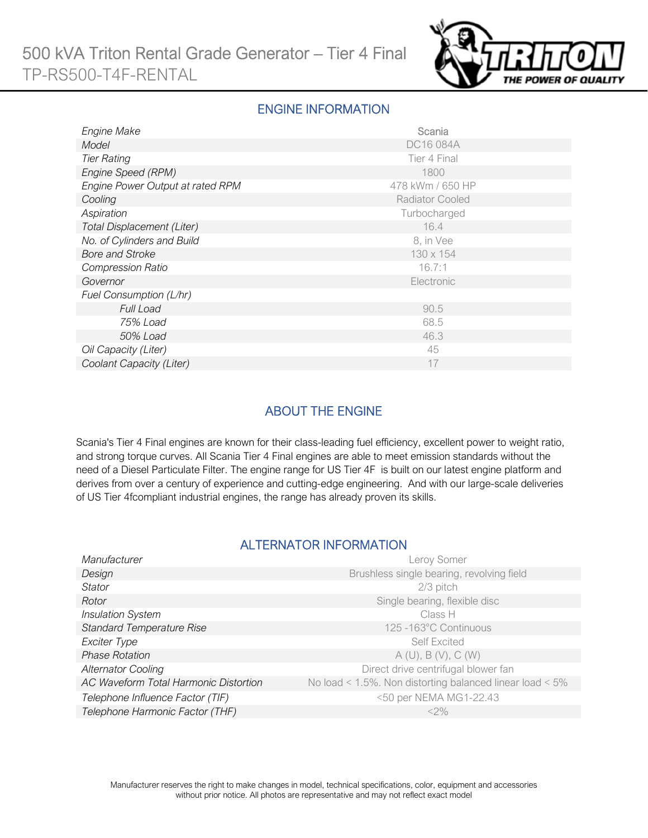

#### ENGINE INFORMATION

| Engine Make                      | Scania                 |
|----------------------------------|------------------------|
| Model                            | DC16 084A              |
| <b>Tier Rating</b>               | Tier 4 Final           |
| Engine Speed (RPM)               | 1800                   |
| Engine Power Output at rated RPM | 478 kWm / 650 HP       |
| Cooling                          | <b>Radiator Cooled</b> |
| Aspiration                       | Turbocharged           |
| Total Displacement (Liter)       | 16.4                   |
| No. of Cylinders and Build       | 8, in Vee              |
| <b>Bore and Stroke</b>           | 130 x 154              |
| <b>Compression Ratio</b>         | 16.7:1                 |
| Governor                         | Electronic             |
| Fuel Consumption (L/hr)          |                        |
| <b>Full Load</b>                 | 90.5                   |
| 75% Load                         | 68.5                   |
| 50% Load                         | 46.3                   |
| Oil Capacity (Liter)             | 45                     |
| Coolant Capacity (Liter)         | 17                     |

## ABOUT THE ENGINE

Scania's Tier 4 Final engines are known for their class-leading fuel efficiency, excellent power to weight ratio, and strong torque curves. All Scania Tier 4 Final engines are able to meet emission standards without the need of a Diesel Particulate Filter. The engine range for US Tier 4F is built on our latest engine platform and derives from over a century of experience and cutting-edge engineering. And with our large-scale deliveries of US Tier 4fcompliant industrial engines, the range has already proven its skills.

#### ALTERNATOR INFORMATION

| Manufacturer                          | Leroy Somer                                                     |
|---------------------------------------|-----------------------------------------------------------------|
| Design                                | Brushless single bearing, revolving field                       |
| <b>Stator</b>                         | 2/3 pitch                                                       |
| Rotor                                 | Single bearing, flexible disc                                   |
| <b>Insulation System</b>              | Class H                                                         |
| <b>Standard Temperature Rise</b>      | 125 - 163°C Continuous                                          |
| Exciter Type                          | <b>Self Excited</b>                                             |
| <b>Phase Rotation</b>                 | A(U), B(V), C(W)                                                |
| <b>Alternator Cooling</b>             | Direct drive centrifugal blower fan                             |
| AC Waveform Total Harmonic Distortion | No load < $1.5\%$ . Non distorting balanced linear load < $5\%$ |
| Telephone Influence Factor (TIF)      | <50 per NEMA MG1-22.43                                          |
| Telephone Harmonic Factor (THF)       | $<$ 2%                                                          |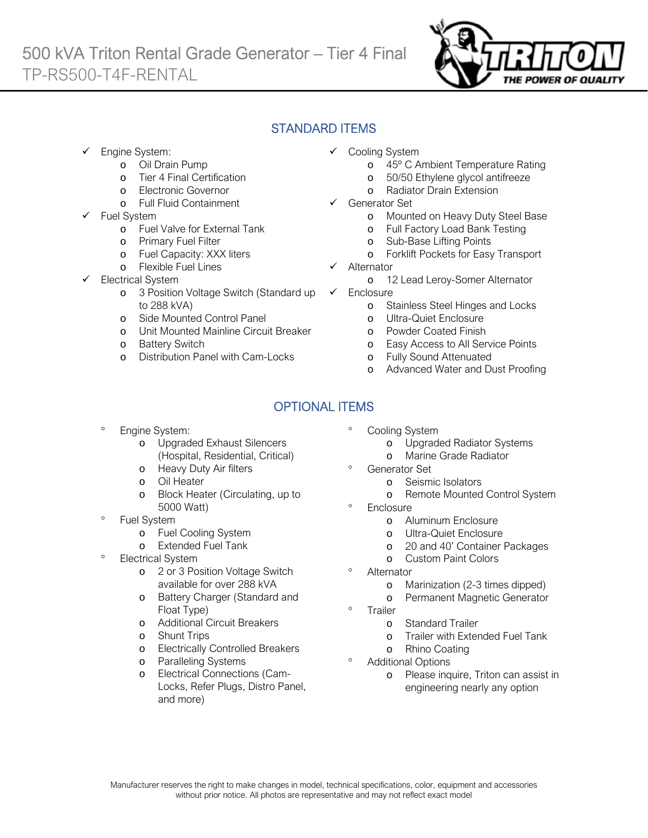

## STANDARD ITEMS

- Engine System:
	- o Oil Drain Pump
	- o Tier 4 Final Certification
	- o Electronic Governor
	- o Full Fluid Containment
- Fuel System
	- o Fuel Valve for External Tank
	- o Primary Fuel Filter
	- o Fuel Capacity: XXX liters
	- o Flexible Fuel Lines
- Electrical System
	- o 3 Position Voltage Switch (Standard up to 288 kVA)
	- o Side Mounted Control Panel
	- o Unit Mounted Mainline Circuit Breaker
	- o Battery Switch
	- o Distribution Panel with Cam-Locks
- Cooling System
	- o 45º C Ambient Temperature Rating
	- o 50/50 Ethylene glycol antifreeze
	- o Radiator Drain Extension
- Generator Set
	- o Mounted on Heavy Duty Steel Base
	- o Full Factory Load Bank Testing
	- o Sub-Base Lifting Points
	- o Forklift Pockets for Easy Transport
- Alternator
	- o 12 Lead Leroy-Somer Alternator
- $\checkmark$  Enclosure
	- o Stainless Steel Hinges and Locks
	- o Ultra-Quiet Enclosure
	- o Powder Coated Finish
	- o Easy Access to All Service Points
	- o Fully Sound Attenuated
	- o Advanced Water and Dust Proofing

# OPTIONAL ITEMS

- Engine System:
	- o Upgraded Exhaust Silencers (Hospital, Residential, Critical)
	- o Heavy Duty Air filters
	- o Oil Heater
	- o Block Heater (Circulating, up to 5000 Watt)
- Fuel System
	- o Fuel Cooling System
	- o Extended Fuel Tank
- Electrical System
	- o 2 or 3 Position Voltage Switch available for over 288 kVA
	- o Battery Charger (Standard and Float Type)
	- o Additional Circuit Breakers
	- o Shunt Trips
	- o Electrically Controlled Breakers
	- o Paralleling Systems
	- o Electrical Connections (Cam-Locks, Refer Plugs, Distro Panel, and more)
- Cooling System
	- o Upgraded Radiator Systems
	- o Marine Grade Radiator
- <sup>o</sup> Generator Set
	- o Seismic Isolators
		- o Remote Mounted Control System
- **Enclosure** 
	- o Aluminum Enclosure
	- o Ultra-Quiet Enclosure
	- o 20 and 40' Container Packages
	- o Custom Paint Colors
- Alternator
	- o Marinization (2-3 times dipped)
	- o Permanent Magnetic Generator
- Trailer
	- o Standard Trailer
	- o Trailer with Extended Fuel Tank
	- o Rhino Coating
- Additional Options
	- o Please inquire, Triton can assist in engineering nearly any option
- 
- -
	-
-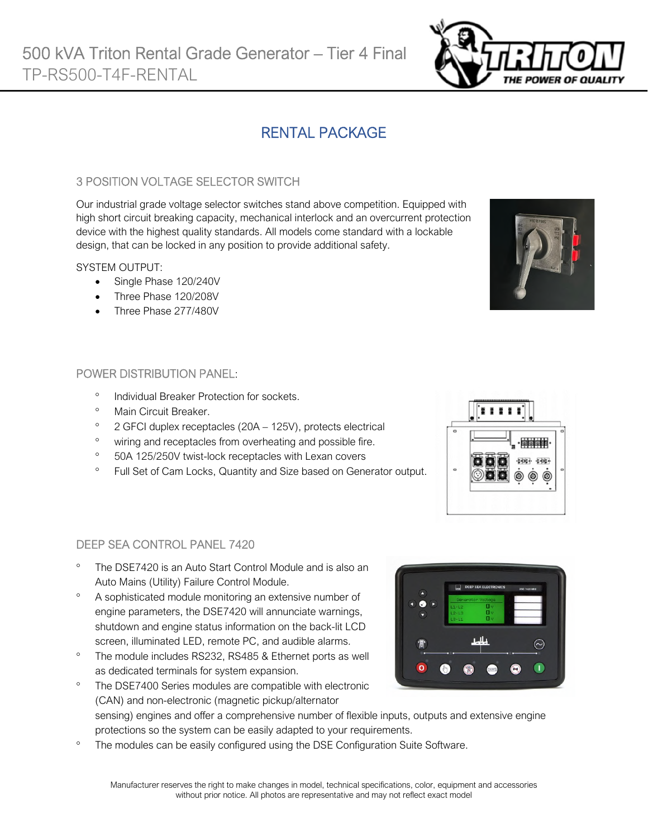# RENTAL PACKAGE

### 3 POSITION VOLTAGE SELECTOR SWITCH

Our industrial grade voltage selector switches stand above competition. Equipped with high short circuit breaking capacity, mechanical interlock and an overcurrent protection device with the highest quality standards. All models come standard with a lockable design, that can be locked in any position to provide additional safety.

#### SYSTEM OUTPUT:

- Single Phase 120/240V
- Three Phase 120/208V
- Three Phase 277/480V

#### POWER DISTRIBUTION PANEL:

- Individual Breaker Protection for sockets.
- <sup>o</sup> Main Circuit Breaker
- $\degree$  2 GFCI duplex receptacles (20A 125V), protects electrical
- <sup>o</sup> wiring and receptacles from overheating and possible fire.
- <sup>o</sup> 50A 125/250V twist-lock receptacles with Lexan covers
- <sup>o</sup> Full Set of Cam Locks, Quantity and Size based on Generator output.



- The DSE7420 is an Auto Start Control Module and is also an Auto Mains (Utility) Failure Control Module.
- A sophisticated module monitoring an extensive number of engine parameters, the DSE7420 will annunciate warnings, shutdown and engine status information on the back-lit LCD screen, illuminated LED, remote PC, and audible alarms.
- <sup>o</sup> The module includes RS232, RS485 & Ethernet ports as well as dedicated terminals for system expansion.
	- The DSE7400 Series modules are compatible with electronic (CAN) and non-electronic (magnetic pickup/alternator sensing) engines and offer a comprehensive number of flexible inputs, outputs and extensive engine protections so the system can be easily adapted to your requirements.
- The modules can be easily configured using the DSE Configuration Suite Software.